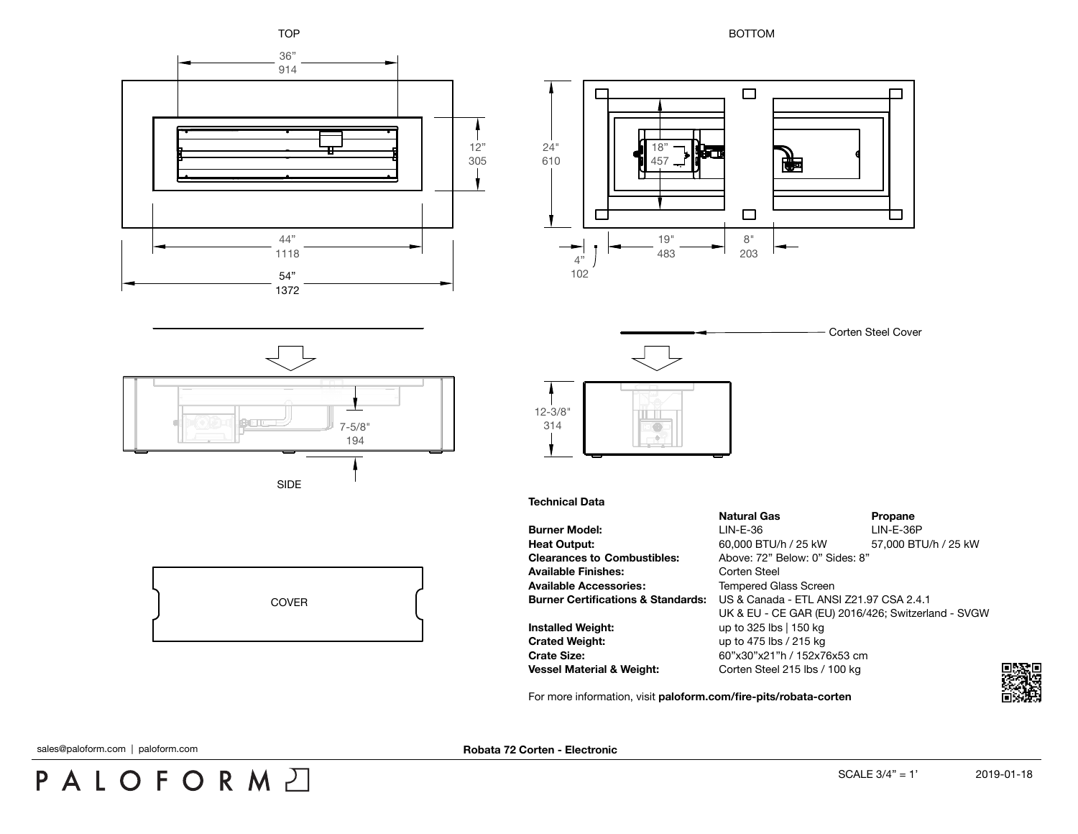

 $\Box$ 

中

 $\Box$ 

 $\Box$ 



194

SIDE

COVER



8" 203

 $\Box$ 

19" 483

18" 457

## **Technical Data**

|                                    | <b>Natural Gas</b>                                 | Propane              |
|------------------------------------|----------------------------------------------------|----------------------|
| <b>Burner Model:</b>               | $LIN-E-36$                                         | $LIN-E-36P$          |
| Heat Output:                       | 60,000 BTU/h / 25 kW                               | 57,000 BTU/h / 25 kW |
| <b>Clearances to Combustibles:</b> | Above: 72" Below: 0" Sides: 8"                     |                      |
| Available Finishes:                | Corten Steel                                       |                      |
| Available Accessories:             | <b>Tempered Glass Screen</b>                       |                      |
| Burner Certifications & Standards: | US & Canada - ETL ANSI Z21.97 CSA 2.4.1            |                      |
|                                    | UK & EU - CE GAR (EU) 2016/426; Switzerland - SVGW |                      |
| Installed Weight:                  | up to 325 lbs   150 kg                             |                      |
| Crated Weight:                     | up to 475 lbs / 215 kg                             |                      |
| Crate Size:                        | 60"x30"x21"h / 152x76x53 cm                        |                      |
| Vessel Material & Weight:          | Corten Steel 215 lbs / 100 kg                      |                      |
|                                    |                                                    |                      |

For more information, visit **[paloform.com/fire-pits/robata-corten](http://paloform.com/fire-pits/robata-corten)**

sales@paloform.com | paloform.com

PALOFORMA

**Robata 72 Corten - Electronic**